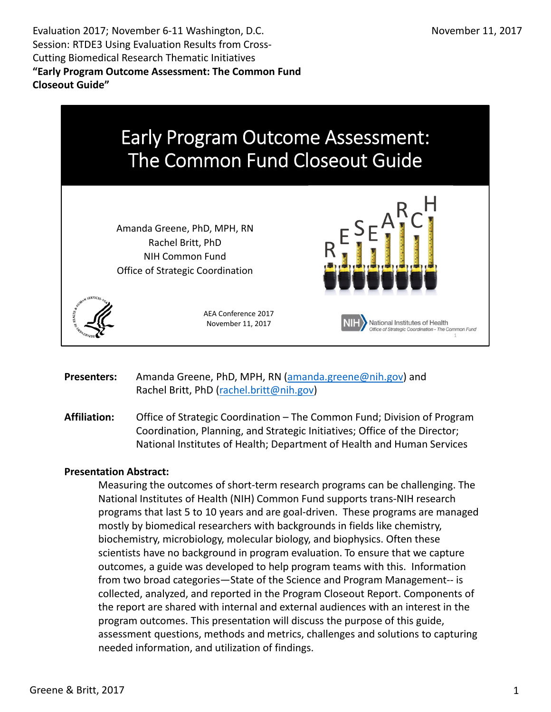Evaluation 2017; November 6‐11 Washington, D.C. Session: RTDE3 Using Evaluation Results from Cross‐ Cutting Biomedical Research Thematic Initiatives  **"Early Program Outcome Assessment: The Common Fund Closeout Guide"**



 **Presenters:** Amanda Greene, PhD, MPH, RN (amanda.greene@nih.gov) and Rachel Britt, PhD (rachel.britt@nih.gov)

 **Affiliation:** Office of Strategic Coordination – The Common Fund; Division of Program Coordination, Planning, and Strategic Initiatives; Office of the Director; National Institutes of Health; Department of Health and Human Services

#### **Presentation Abstract:**

 Measuring the outcomes of short‐term research programs can be challenging. The National Institutes of Health (NIH) Common Fund supports trans‐NIH research programs that last 5 to 10 years and are goal‐driven. These programs are managed mostly by biomedical researchers with backgrounds in fields like chemistry, biochemistry, microbiology, molecular biology, and biophysics. Often these scientists have no background in program evaluation. To ensure that we capture outcomes, a guide was developed to help program teams with this. Information from two broad categories—State of the Science and Program Management‐‐ is collected, analyzed, and reported in the Program Closeout Report. Components of the report are shared with internal and external audiences with an interest in the program outcomes. This presentation will discuss the purpose of this guide, assessment questions, methods and metrics, challenges and solutions to capturing needed information, and utilization of findings.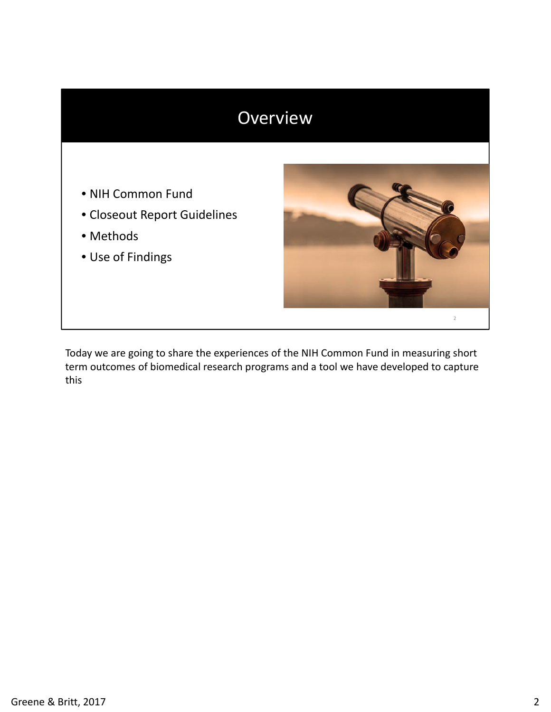### Overview

- NIH Common Fund
- Closeout Report Guidelines
- Methods
- Use of Findings



 Today we are going to share the experiences of the NIH Common Fund in measuring short term outcomes of biomedical research programs and a tool we have developed to capture this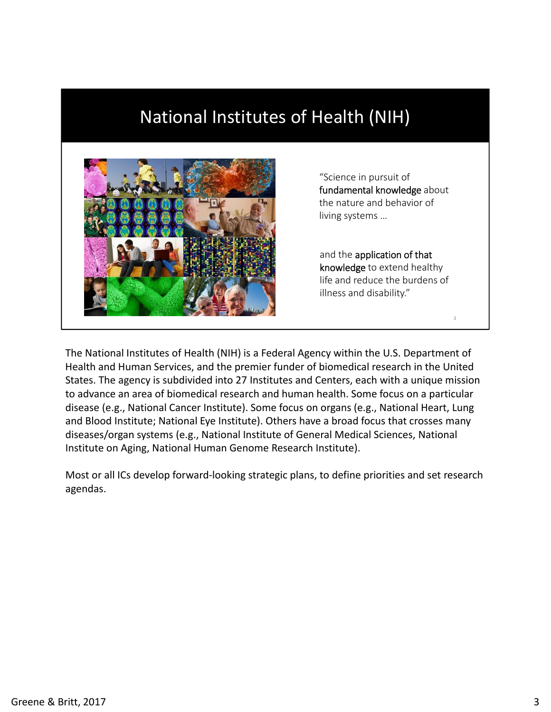### National Institutes of Health (NIH)



 "Science in pursuit of fundamental knowledge about the nature and behavior of living systems …

and the application of that knowledge to extend healthy life and reduce the burdens of illness and disability."

3

 The National Institutes of Health (NIH) is a Federal Agency within the U.S. Department of Health and Human Services, and the premier funder of biomedical research in the United States. The agency is subdivided into 27 Institutes and Centers, each with a unique mission to advance an area of biomedical research and human health. Some focus on a particular disease (e.g., National Cancer Institute). Some focus on organs (e.g., National Heart, Lung and Blood Institute; National Eye Institute). Others have a broad focus that crosses many diseases/organ systems (e.g., National Institute of General Medical Sciences, National Institute on Aging, National Human Genome Research Institute).

 Most or all ICs develop forward‐looking strategic plans, to define priorities and set research agendas.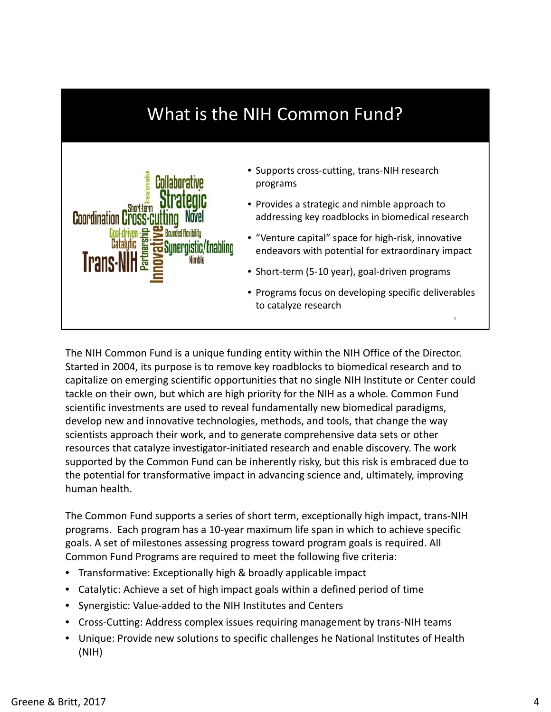

 The NIH Common Fund is a unique funding entity within the NIH Office of the Director. Started in 2004, its purpose is to remove key roadblocks to biomedical research and to capitalize on emerging scientific opportunities that no single NIH Institute or Center could tackle on their own, but which are high priority for the NIH as a whole. Common Fund scientific investments are used to reveal fundamentally new biomedical paradigms, develop new and innovative technologies, methods, and tools, that change the way scientists approach their work, and to generate comprehensive data sets or other resources that catalyze investigator‐initiated research and enable discovery. The work supported by the Common Fund can be inherently risky, but this risk is embraced due to the potential for transformative impact in advancing science and, ultimately, improving human health.

 The Common Fund supports a series of short term, exceptionally high impact, trans‐NIH programs. Each program has a 10‐year maximum life span in which to achieve specific goals. A set of milestones assessing progress toward program goals is required. All Common Fund Programs are required to meet the following five criteria:

- Transformative: Exceptionally high & broadly applicable impact
- Catalytic: Achieve a set of high impact goals within a defined period of time
- Synergistic: Value‐added to the NIH Institutes and Centers
- Cross‐Cutting: Address complex issues requiring management by trans‐NIH teams
- Unique: Provide new solutions to specific challenges he National Institutes of Health (NIH)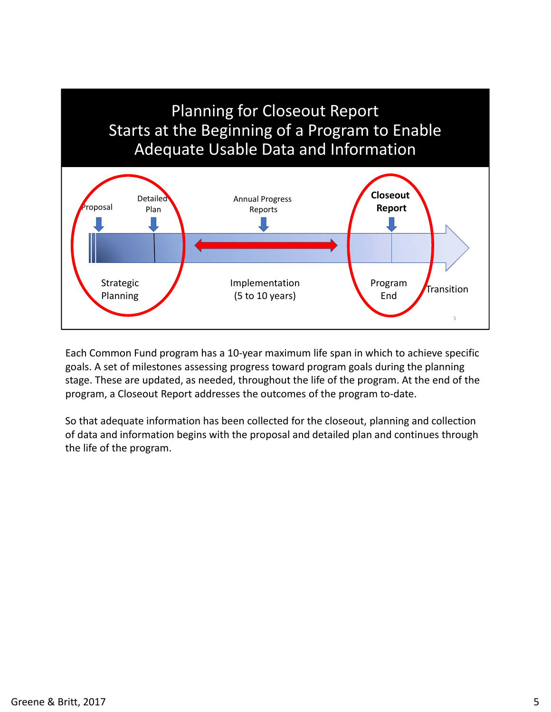

 Each Common Fund program has a 10‐year maximum life span in which to achieve specific goals. A set of milestones assessing progress toward program goals during the planning stage. These are updated, as needed, throughout the life of the program. At the end of the program, a Closeout Report addresses the outcomes of the program to‐date.

 So that adequate information has been collected for the closeout, planning and collection of data and information begins with the proposal and detailed plan and continues through the life of the program.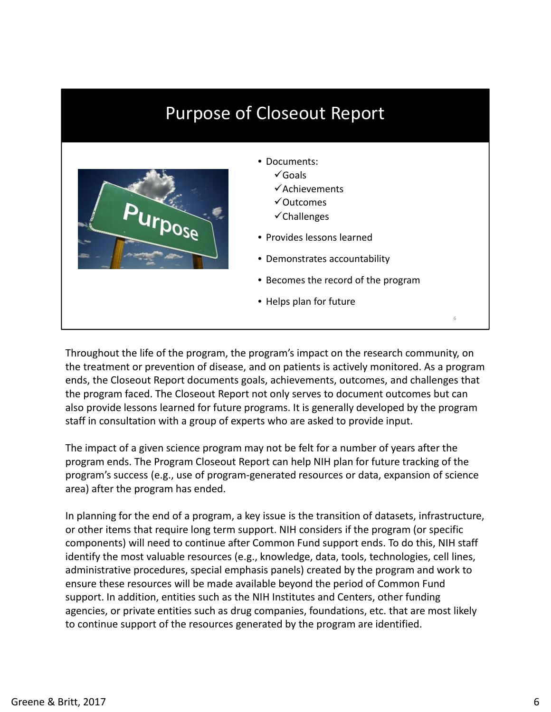## Purpose of Closeout Report



- Documents:
	- $\checkmark$  Goals
	- $\checkmark$ Achievements
	- Outcomes
	- $\checkmark$ Challenges
- Provides lessons learned
- Demonstrates accountability
- Becomes the record of the program

6

• Helps plan for future

 Throughout the life of the program, the program's impact on the research community, on the treatment or prevention of disease, and on patients is actively monitored. As a program ends, the Closeout Report documents goals, achievements, outcomes, and challenges that the program faced. The Closeout Report not only serves to document outcomes but can also provide lessons learned for future programs. It is generally developed by the program staff in consultation with a group of experts who are asked to provide input.

 The impact of a given science program may not be felt for a number of years after the program ends. The Program Closeout Report can help NIH plan for future tracking of the program's success (e.g., use of program‐generated resources or data, expansion of science area) after the program has ended.

 In planning for the end of a program, a key issue is the transition of datasets, infrastructure, or other items that require long term support. NIH considers if the program (or specific components) will need to continue after Common Fund support ends. To do this, NIH staff identify the most valuable resources (e.g., knowledge, data, tools, technologies, cell lines, administrative procedures, special emphasis panels) created by the program and work to ensure these resources will be made available beyond the period of Common Fund support. In addition, entities such as the NIH Institutes and Centers, other funding agencies, or private entities such as drug companies, foundations, etc. that are most likely to continue support of the resources generated by the program are identified.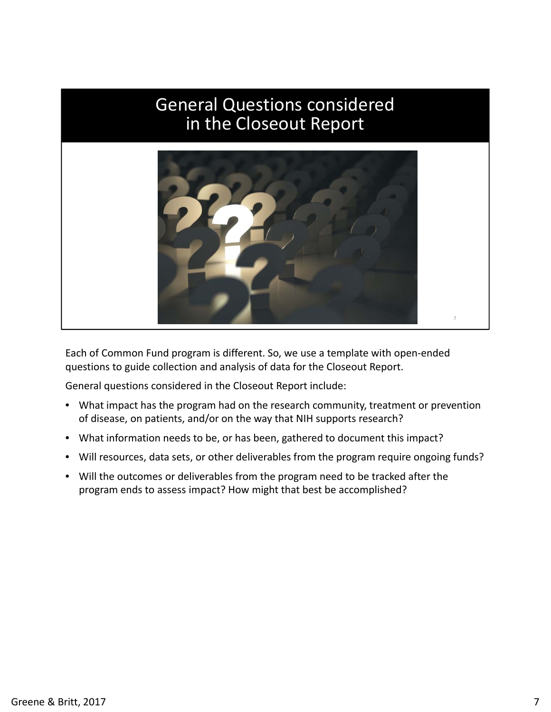#### General Questions considered<br>in the Closeout Renort the Closeout Jefferal Questions considered<br>in the Closeout Renort in the Closeout Report



 Each of Common Fund program is different. So, we use a template with open‐ended questions to guide collection and analysis of data for the Closeout Report.

General questions considered in the Closeout Report include:

- • What impact has the program had on the research community, treatment or prevention of disease, on patients, and/or on the way that NIH supports research?
- What information needs to be, or has been, gathered to document this impact?
- Will resources, data sets, or other deliverables from the program require ongoing funds?
- Will the outcomes or deliverables from the program need to be tracked after the program ends to assess impact? How might that best be accomplished?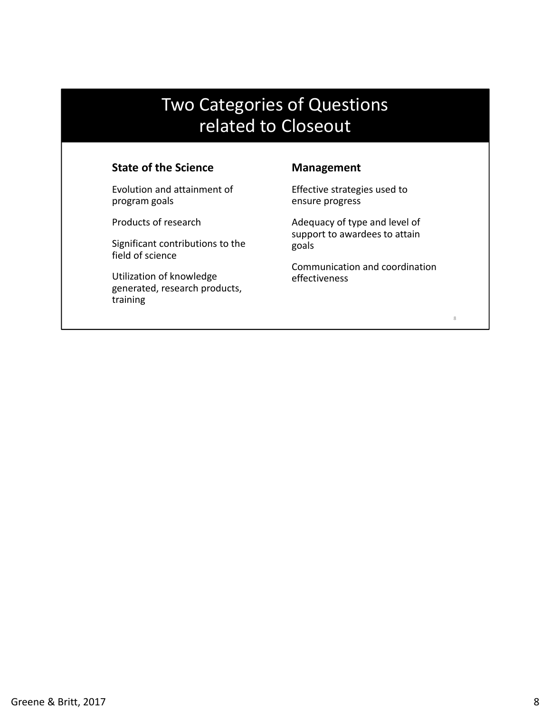### categories or Quest Two Categories of Questions<br>related to Closequit related to Closeout

#### **State of the Science**

 Evolution and attainment of program goals

Products of research

 Significant contributions to the field of science

 Utilization of knowledge generated, research products, training

#### **Management**

 Effective strategies used to ensure progress

 Adequacy of type and level of support to awardees to attain goals

 Communication and coordination effectiveness

8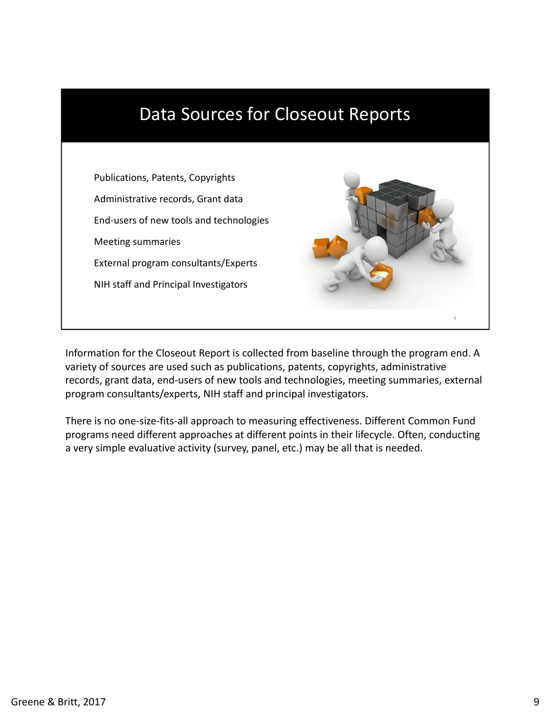

 Information for the Closeout Report is collected from baseline through the program end. A variety of sources are used such as publications, patents, copyrights, administrative records, grant data, end‐users of new tools and technologies, meeting summaries, external program consultants/experts, NIH staff and principal investigators.

 There is no one‐size‐fits‐all approach to measuring effectiveness. Different Common Fund programs need different approaches at different points in their lifecycle. Often, conducting a very simple evaluative activity (survey, panel, etc.) may be all that is needed.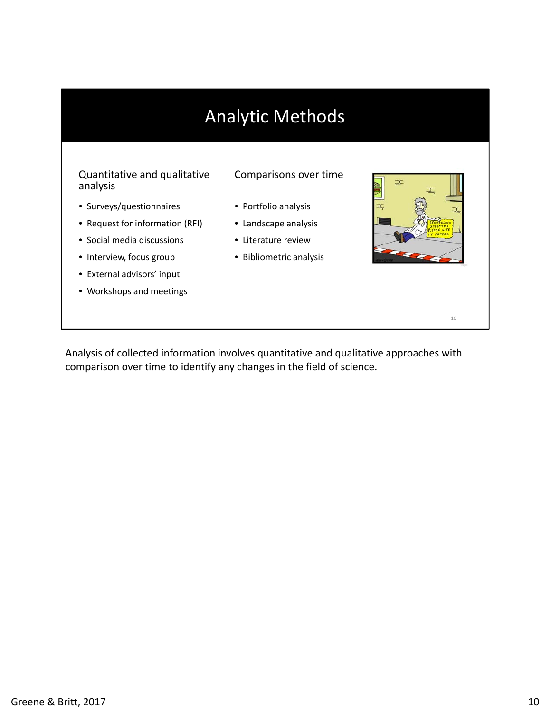# Analytic Methods

#### Quantitative and qualitative Comparisons over time analysis

- Surveys/questionnaires Portfolio analysis
- Request for information (RFI) Landscape analysis
- Social media discussions Literature review
- 
- External advisors' input
- Workshops and meetings

- 
- 
- 
- Interview, focus group Bibliometric analysis



10

 Analysis of collected information involves quantitative and qualitative approaches with comparison over time to identify any changes in the field of science.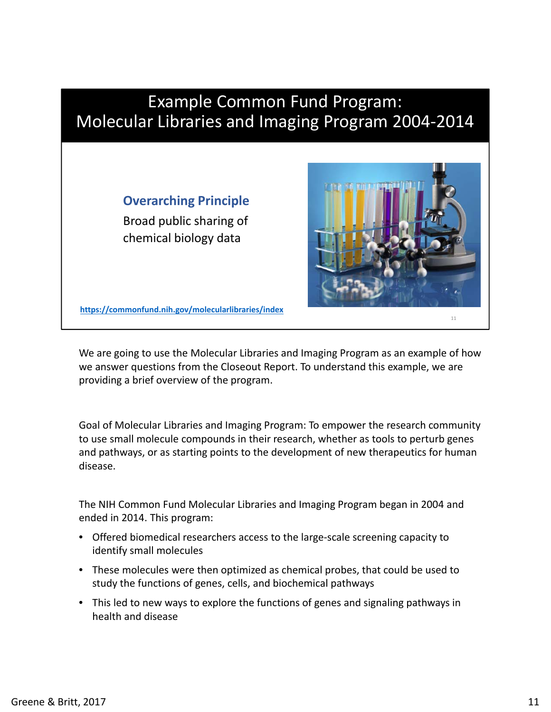

 We are going to use the Molecular Libraries and Imaging Program as an example of how we answer questions from the Closeout Report. To understand this example, we are providing a brief overview of the program.

 Goal of Molecular Libraries and Imaging Program: To empower the research community to use small molecule compounds in their research, whether as tools to perturb genes and pathways, or as starting points to the development of new therapeutics for human disease.

 The NIH Common Fund Molecular Libraries and Imaging Program began in 2004 and ended in 2014. This program:

- Offered biomedical researchers access to the large‐scale screening capacity to identify small molecules
- • These molecules were then optimized as chemical probes, that could be used to study the functions of genes, cells, and biochemical pathways
- This led to new ways to explore the functions of genes and signaling pathways in health and disease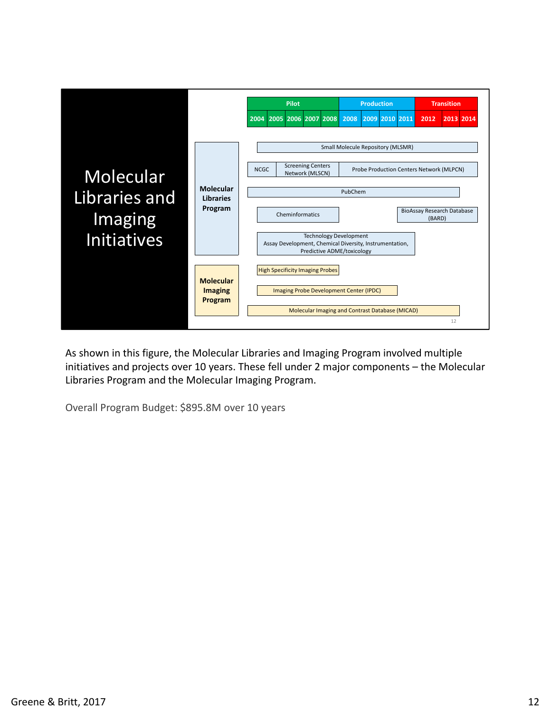

 As shown in this figure, the Molecular Libraries and Imaging Program involved multiple initiatives and projects over 10 years. These fell under 2 major components – the Molecular Libraries Program and the Molecular Imaging Program.

Overall Program Budget: \$895.8M over 10 years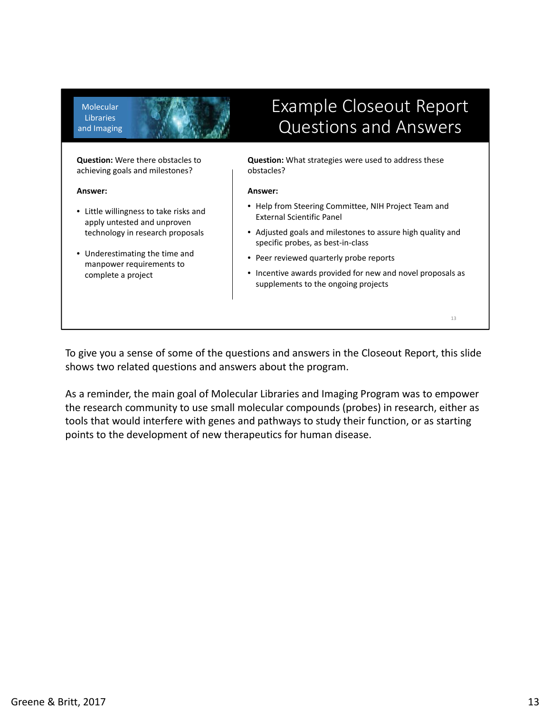**Molecular Libraries** and Imaging

### Closeout Report<br>Cuestions and Answers Questions and Answers

**Question:** Were there obstacles to achieving goals and milestones?

**Answer:**

- Little willingness to take risks and apply untested and unproven technology in research proposals
- Underestimating the time and manpower requirements to complete a project

**Question:** What strategies were used to address these obstacles?

#### **Answer:**

- Help from Steering Committee, NIH Project Team and External Scientific Panel
- Adjusted goals and milestones to assure high quality and specific probes, as best‐in‐class
- Peer reviewed quarterly probe reports
- Incentive awards provided for new and novel proposals as supplements to the ongoing projects

13

 To give you a sense of some of the questions and answers in the Closeout Report, this slide shows two related questions and answers about the program.

 As a reminder, the main goal of Molecular Libraries and Imaging Program was to empower the research community to use small molecular compounds (probes) in research, either as tools that would interfere with genes and pathways to study their function, or as starting points to the development of new therapeutics for human disease.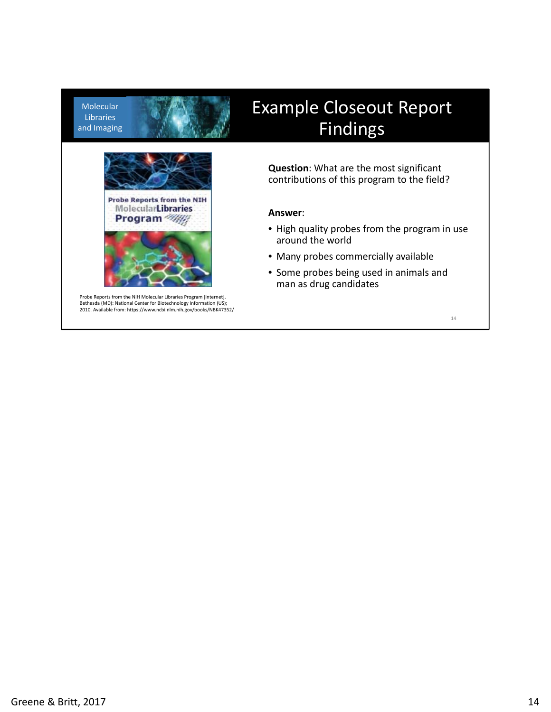Molecular Libraries and Imaging



 Probe Reports from the NIH Molecular Libraries Program [Internet]. Bethesda (MD): National Center for Biotechnology Information (US); 2010. Available from: https://www.ncbi.nlm.nih.gov/books/NBK47352/

### Closeout Report Findings

**Question**: What are the most significant contributions of this program to the field?

#### **Answer**:

- High quality probes from the program in use around the world
- Many probes commercially available
- Some probes being used in animals and man as drug candidates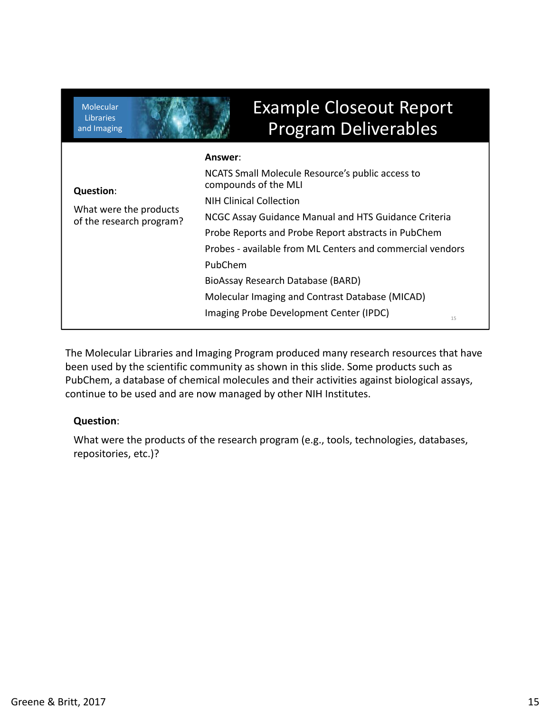| <b>Molecular</b><br><b>Libraries</b><br>and Imaging                    | <b>Example Closeout Report</b><br><b>Program Deliverables</b>                                                                                                                                                                                                                                                                                                                                                                                         |
|------------------------------------------------------------------------|-------------------------------------------------------------------------------------------------------------------------------------------------------------------------------------------------------------------------------------------------------------------------------------------------------------------------------------------------------------------------------------------------------------------------------------------------------|
| <b>Question:</b><br>What were the products<br>of the research program? | Answer:<br>NCATS Small Molecule Resource's public access to<br>compounds of the MLI<br><b>NIH Clinical Collection</b><br>NCGC Assay Guidance Manual and HTS Guidance Criteria<br>Probe Reports and Probe Report abstracts in PubChem<br>Probes - available from ML Centers and commercial vendors<br>PubChem<br>BioAssay Research Database (BARD)<br>Molecular Imaging and Contrast Database (MICAD)<br>Imaging Probe Development Center (IPDC)<br>15 |

 The Molecular Libraries and Imaging Program produced many research resources that have been used by the scientific community as shown in this slide. Some products such as PubChem, a database of chemical molecules and their activities against biological assays, continue to be used and are now managed by other NIH Institutes.

#### **Question**:

 What were the products of the research program (e.g., tools, technologies, databases, repositories, etc.)?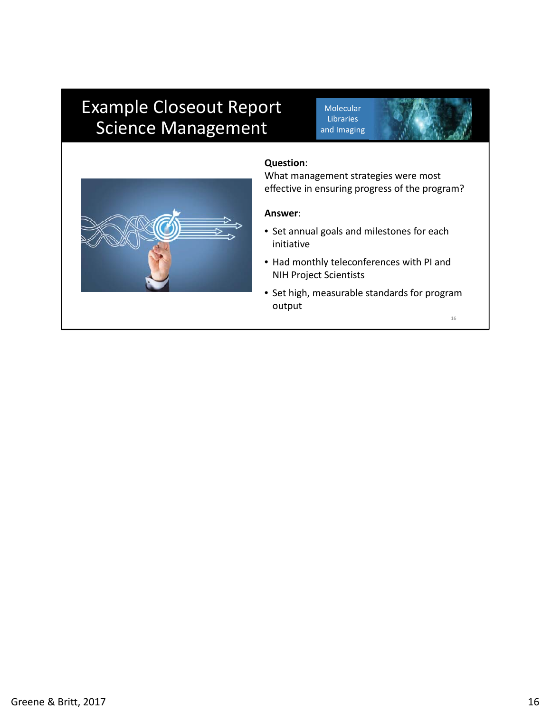### Example Closeout Report Molecular Science Management

Molecular Libraries and Imaging



#### **Question**:

What management strategies were most effective in ensuring progress of the program?

#### **Answer**:

- Set annual goals and milestones for each initiative
- Had monthly teleconferences with PI and NIH Project Scientists
- Set high, measurable standards for program output

16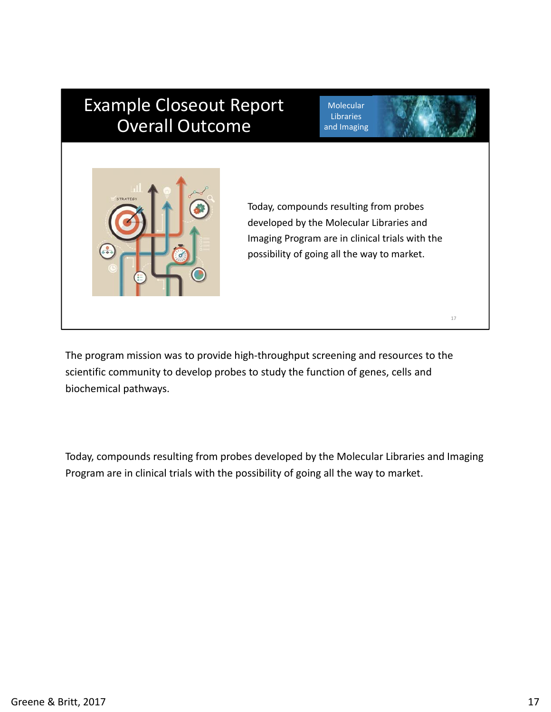### Example Closeout Report<br>Calicharies Currence Overall Outcome

Molecular Libraries and Imaging



Today, compounds resulting from probes developed by the Molecular Libraries and Imaging Program are in clinical trials with the possibility of going all the way to market.

17

 The program mission was to provide high‐throughput screening and resources to the scientific community to develop probes to study the function of genes, cells and biochemical pathways.

 Today, compounds resulting from probes developed by the Molecular Libraries and Imaging Program are in clinical trials with the possibility of going all the way to market.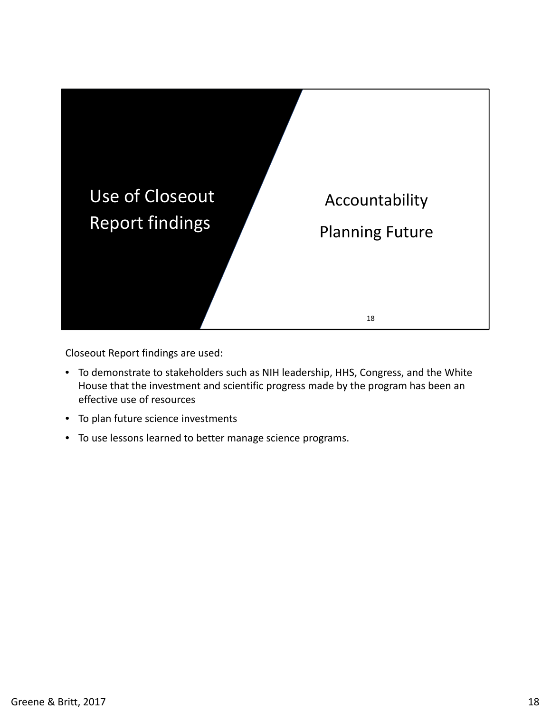

Closeout Report findings are used:

- To demonstrate to stakeholders such as NIH leadership, HHS, Congress, and the White House that the investment and scientific progress made by the program has been an effective use of resources
- To plan future science investments
- To use lessons learned to better manage science programs.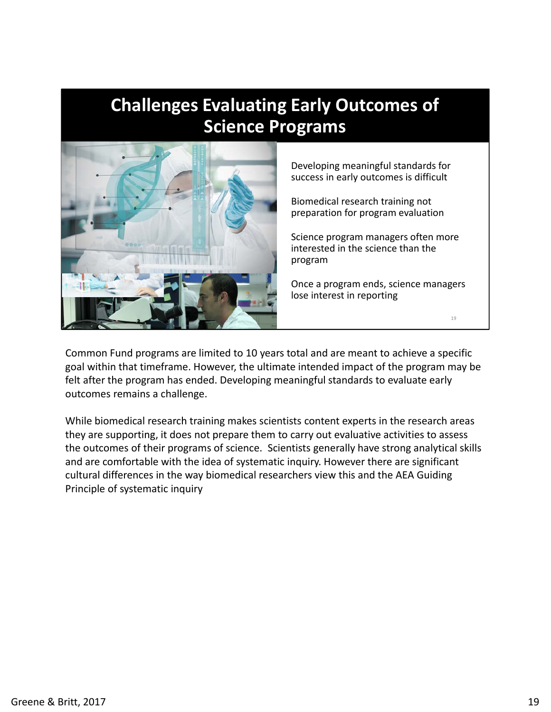#### Evaluatilig Larry Ot **Evaluating Early Outcomes of** Tiges Evaluating Larry Outcor **Challenges Evaluating Early Outcomes of Science Programs**



Developing meaningful standards for success in early outcomes is difficult

Biomedical research training not preparation for program evaluation

Science program managers often more interested in the science than the program

Once a program ends, science managers lose interest in reporting

19

 Common Fund programs are limited to 10 years total and are meant to achieve a specific goal within that timeframe. However, the ultimate intended impact of the program may be felt after the program has ended. Developing meaningful standards to evaluate early outcomes remains a challenge.

 While biomedical research training makes scientists content experts in the research areas they are supporting, it does not prepare them to carry out evaluative activities to assess the outcomes of their programs of science. Scientists generally have strong analytical skills and are comfortable with the idea of systematic inquiry. However there are significant cultural differences in the way biomedical researchers view this and the AEA Guiding Principle of systematic inquiry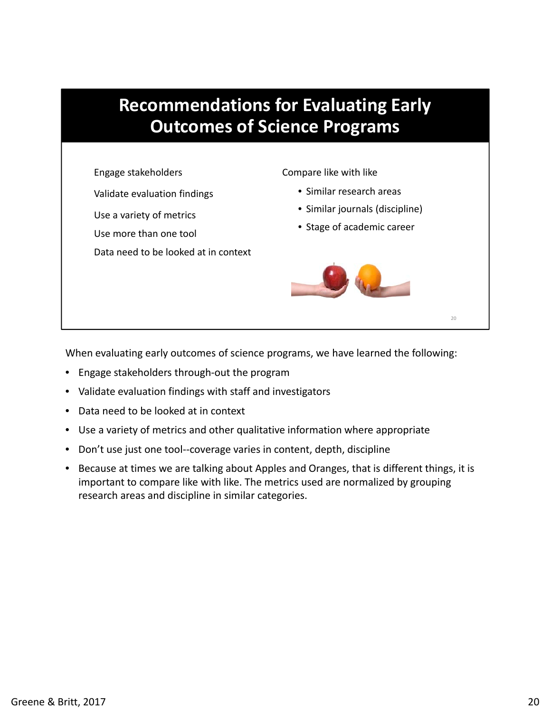

When evaluating early outcomes of science programs, we have learned the following:

- Engage stakeholders through‐out the program
- Validate evaluation findings with staff and investigators
- Data need to be looked at in context
- Use a variety of metrics and other qualitative information where appropriate
- Don't use just one tool--coverage varies in content, depth, discipline
- • Because at times we are talking about Apples and Oranges, that is different things, it is important to compare like with like. The metrics used are normalized by grouping research areas and discipline in similar categories.